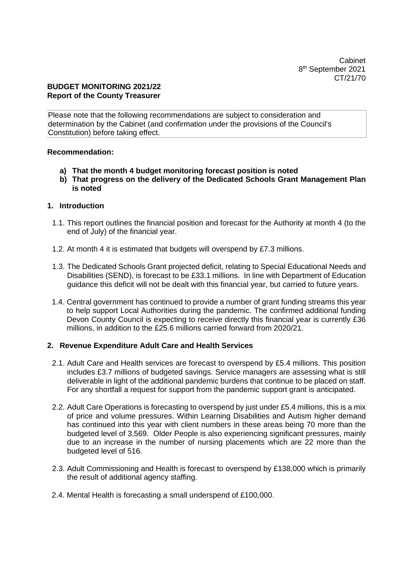Cabinet 8 th September 2021 CT/21/70

## **BUDGET MONITORING 2021/22 Report of the County Treasurer**

Please note that the following recommendations are subject to consideration and determination by the Cabinet (and confirmation under the provisions of the Council's Constitution) before taking effect.

## **Recommendation:**

- **a) That the month 4 budget monitoring forecast position is noted**
- **b) That progress on the delivery of the Dedicated Schools Grant Management Plan is noted**

### **1. Introduction**

- 1.1. This report outlines the financial position and forecast for the Authority at month 4 (to the end of July) of the financial year.
- 1.2. At month 4 it is estimated that budgets will overspend by £7.3 millions.
- 1.3. The Dedicated Schools Grant projected deficit, relating to Special Educational Needs and Disabilities (SEND), is forecast to be £33.1 millions. In line with Department of Education guidance this deficit will not be dealt with this financial year, but carried to future years.
- 1.4. Central government has continued to provide a number of grant funding streams this year to help support Local Authorities during the pandemic. The confirmed additional funding Devon County Council is expecting to receive directly this financial year is currently £36 millions, in addition to the £25.6 millions carried forward from 2020/21.

## **2. Revenue Expenditure Adult Care and Health Services**

- 2.1. Adult Care and Health services are forecast to overspend by £5.4 millions. This position includes £3.7 millions of budgeted savings. Service managers are assessing what is still deliverable in light of the additional pandemic burdens that continue to be placed on staff. For any shortfall a request for support from the pandemic support grant is anticipated.
- 2.2. Adult Care Operations is forecasting to overspend by just under £5.4 millions, this is a mix of price and volume pressures. Within Learning Disabilities and Autism higher demand has continued into this year with client numbers in these areas being 70 more than the budgeted level of 3,569. Older People is also experiencing significant pressures, mainly due to an increase in the number of nursing placements which are 22 more than the budgeted level of 516.
- 2.3. Adult Commissioning and Health is forecast to overspend by £138,000 which is primarily the result of additional agency staffing.
- 2.4. Mental Health is forecasting a small underspend of £100,000.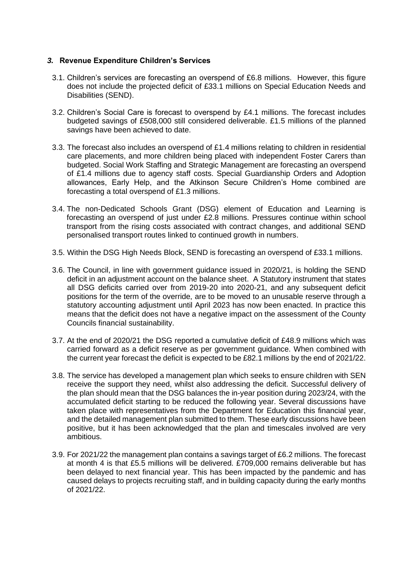## *3.* **Revenue Expenditure Children's Services**

- 3.1. Children's services are forecasting an overspend of £6.8 millions. However, this figure does not include the projected deficit of £33.1 millions on Special Education Needs and Disabilities (SEND).
- 3.2. Children's Social Care is forecast to overspend by £4.1 millions. The forecast includes budgeted savings of £508,000 still considered deliverable. £1.5 millions of the planned savings have been achieved to date.
- 3.3. The forecast also includes an overspend of £1.4 millions relating to children in residential care placements, and more children being placed with independent Foster Carers than budgeted. Social Work Staffing and Strategic Management are forecasting an overspend of £1.4 millions due to agency staff costs. Special Guardianship Orders and Adoption allowances, Early Help, and the Atkinson Secure Children's Home combined are forecasting a total overspend of £1.3 millions.
- 3.4. The non-Dedicated Schools Grant (DSG) element of Education and Learning is forecasting an overspend of just under £2.8 millions. Pressures continue within school transport from the rising costs associated with contract changes, and additional SEND personalised transport routes linked to continued growth in numbers.
- 3.5. Within the DSG High Needs Block, SEND is forecasting an overspend of £33.1 millions.
- 3.6. The Council, in line with government guidance issued in 2020/21, is holding the SEND deficit in an adjustment account on the balance sheet. A Statutory instrument that states all DSG deficits carried over from 2019-20 into 2020-21, and any subsequent deficit positions for the term of the override, are to be moved to an unusable reserve through a statutory accounting adjustment until April 2023 has now been enacted. In practice this means that the deficit does not have a negative impact on the assessment of the County Councils financial sustainability.
- 3.7. At the end of 2020/21 the DSG reported a cumulative deficit of £48.9 millions which was carried forward as a deficit reserve as per government guidance. When combined with the current year forecast the deficit is expected to be £82.1 millions by the end of 2021/22.
- 3.8. The service has developed a management plan which seeks to ensure children with SEN receive the support they need, whilst also addressing the deficit. Successful delivery of the plan should mean that the DSG balances the in-year position during 2023/24, with the accumulated deficit starting to be reduced the following year. Several discussions have taken place with representatives from the Department for Education this financial year, and the detailed management plan submitted to them. These early discussions have been positive, but it has been acknowledged that the plan and timescales involved are very ambitious.
- 3.9. For 2021/22 the management plan contains a savings target of £6.2 millions. The forecast at month 4 is that £5.5 millions will be delivered. £709,000 remains deliverable but has been delayed to next financial year. This has been impacted by the pandemic and has caused delays to projects recruiting staff, and in building capacity during the early months of 2021/22.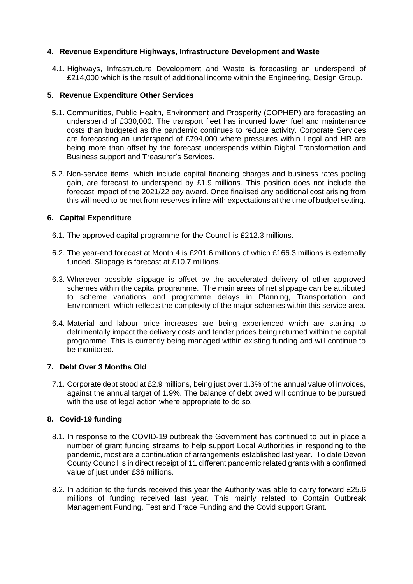## **4. Revenue Expenditure Highways, Infrastructure Development and Waste**

4.1. Highways, Infrastructure Development and Waste is forecasting an underspend of £214,000 which is the result of additional income within the Engineering, Design Group.

## **5. Revenue Expenditure Other Services**

- 5.1. Communities, Public Health, Environment and Prosperity (COPHEP) are forecasting an underspend of £330,000. The transport fleet has incurred lower fuel and maintenance costs than budgeted as the pandemic continues to reduce activity. Corporate Services are forecasting an underspend of £794,000 where pressures within Legal and HR are being more than offset by the forecast underspends within Digital Transformation and Business support and Treasurer's Services.
- 5.2. Non-service items, which include capital financing charges and business rates pooling gain, are forecast to underspend by £1.9 millions. This position does not include the forecast impact of the 2021/22 pay award. Once finalised any additional cost arising from this will need to be met from reserves in line with expectations at the time of budget setting.

## **6. Capital Expenditure**

- 6.1. The approved capital programme for the Council is £212.3 millions.
- 6.2. The year-end forecast at Month 4 is £201.6 millions of which £166.3 millions is externally funded. Slippage is forecast at £10.7 millions.
- 6.3. Wherever possible slippage is offset by the accelerated delivery of other approved schemes within the capital programme. The main areas of net slippage can be attributed to scheme variations and programme delays in Planning, Transportation and Environment, which reflects the complexity of the major schemes within this service area.
- 6.4. Material and labour price increases are being experienced which are starting to detrimentally impact the delivery costs and tender prices being returned within the capital programme. This is currently being managed within existing funding and will continue to be monitored.

## **7. Debt Over 3 Months Old**

7.1. Corporate debt stood at £2.9 millions, being just over 1.3% of the annual value of invoices, against the annual target of 1.9%. The balance of debt owed will continue to be pursued with the use of legal action where appropriate to do so.

# **8. Covid-19 funding**

- 8.1. In response to the COVID-19 outbreak the Government has continued to put in place a number of grant funding streams to help support Local Authorities in responding to the pandemic, most are a continuation of arrangements established last year. To date Devon County Council is in direct receipt of 11 different pandemic related grants with a confirmed value of just under £36 millions.
- 8.2. In addition to the funds received this year the Authority was able to carry forward £25.6 millions of funding received last year. This mainly related to Contain Outbreak Management Funding, Test and Trace Funding and the Covid support Grant.